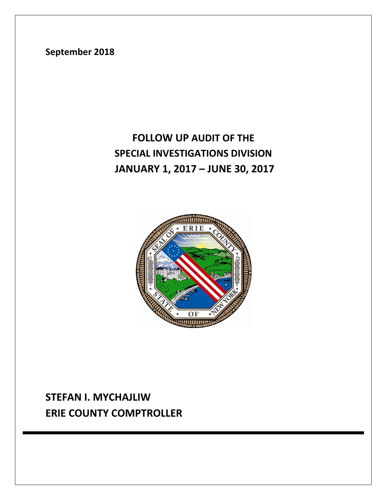# **STEFAN I. MYCHAJLIW ERIE COUNTY COMPTROLLER**



# **FOLLOW UP AUDIT OF THE SPECIAL INVESTIGATIONS DIVISION JANUARY 1, 2017 – JUNE 30, 2017**

**September 2018**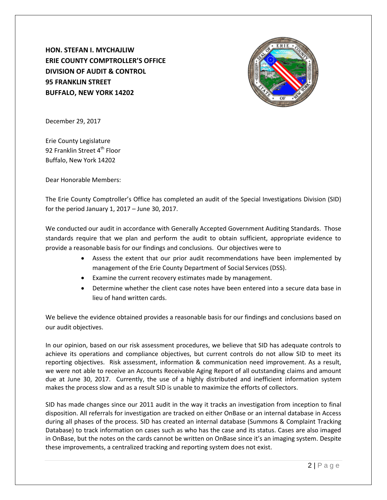**HON. STEFAN I. MYCHAJLIW ERIE COUNTY COMPTROLLER'S OFFICE DIVISION OF AUDIT & CONTROL 95 FRANKLIN STREET BUFFALO, NEW YORK 14202**



December 29, 2017

Erie County Legislature 92 Franklin Street 4<sup>th</sup> Floor Buffalo, New York 14202

Dear Honorable Members:

The Erie County Comptroller's Office has completed an audit of the Special Investigations Division (SID) for the period January 1, 2017 – June 30, 2017.

We conducted our audit in accordance with Generally Accepted Government Auditing Standards. Those standards require that we plan and perform the audit to obtain sufficient, appropriate evidence to provide a reasonable basis for our findings and conclusions. Our objectives were to

- Assess the extent that our prior audit recommendations have been implemented by management of the Erie County Department of Social Services (DSS).
- Examine the current recovery estimates made by management.
- Determine whether the client case notes have been entered into a secure data base in lieu of hand written cards.

We believe the evidence obtained provides a reasonable basis for our findings and conclusions based on our audit objectives.

In our opinion, based on our risk assessment procedures, we believe that SID has adequate controls to achieve its operations and compliance objectives, but current controls do not allow SID to meet its reporting objectives. Risk assessment, information & communication need improvement. As a result, we were not able to receive an Accounts Receivable Aging Report of all outstanding claims and amount due at June 30, 2017. Currently, the use of a highly distributed and inefficient information system makes the process slow and as a result SID is unable to maximize the efforts of collectors.

SID has made changes since our 2011 audit in the way it tracks an investigation from inception to final disposition. All referrals for investigation are tracked on either OnBase or an internal database in Access during all phases of the process. SID has created an internal database (Summons & Complaint Tracking Database) to track information on cases such as who has the case and its status. Cases are also imaged in OnBase, but the notes on the cards cannot be written on OnBase since it's an imaging system. Despite these improvements, a centralized tracking and reporting system does not exist.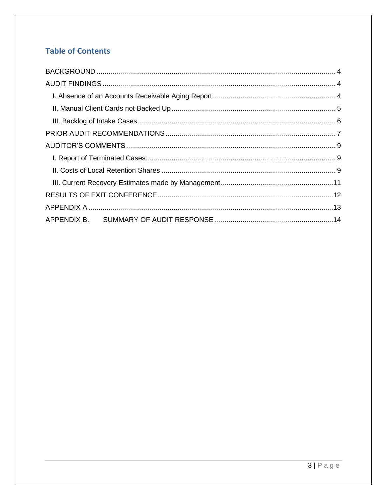# **Table of Contents**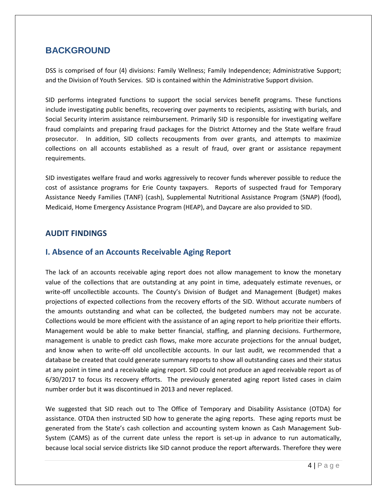## <span id="page-3-0"></span>**BACKGROUND**

DSS is comprised of four (4) divisions: Family Wellness; Family Independence; Administrative Support; and the Division of Youth Services. SID is contained within the Administrative Support division.

SID performs integrated functions to support the social services benefit programs. These functions include investigating public benefits, recovering over payments to recipients, assisting with burials, and Social Security interim assistance reimbursement. Primarily SID is responsible for investigating welfare fraud complaints and preparing fraud packages for the District Attorney and the State welfare fraud prosecutor. In addition, SID collects recoupments from over grants, and attempts to maximize collections on all accounts established as a result of fraud, over grant or assistance repayment requirements.

SID investigates welfare fraud and works aggressively to recover funds wherever possible to reduce the cost of assistance programs for Erie County taxpayers. Reports of suspected fraud for Temporary Assistance Needy Families (TANF) (cash), Supplemental Nutritional Assistance Program (SNAP) (food), Medicaid, Home Emergency Assistance Program (HEAP), and Daycare are also provided to SID.

#### <span id="page-3-1"></span>**AUDIT FINDINGS**

### <span id="page-3-2"></span>**I. Absence of an Accounts Receivable Aging Report**

The lack of an accounts receivable aging report does not allow management to know the monetary value of the collections that are outstanding at any point in time, adequately estimate revenues, or write-off uncollectible accounts. The County's Division of Budget and Management (Budget) makes projections of expected collections from the recovery efforts of the SID. Without accurate numbers of the amounts outstanding and what can be collected, the budgeted numbers may not be accurate. Collections would be more efficient with the assistance of an aging report to help prioritize their efforts. Management would be able to make better financial, staffing, and planning decisions. Furthermore, management is unable to predict cash flows, make more accurate projections for the annual budget, and know when to write-off old uncollectible accounts. In our last audit, we recommended that a database be created that could generate summary reports to show all outstanding cases and their status at any point in time and a receivable aging report. SID could not produce an aged receivable report as of 6/30/2017 to focus its recovery efforts. The previously generated aging report listed cases in claim number order but it was discontinued in 2013 and never replaced.

We suggested that SID reach out to The Office of Temporary and Disability Assistance (OTDA) for assistance. OTDA then instructed SID how to generate the aging reports. These aging reports must be generated from the State's cash collection and accounting system known as Cash Management Sub-System (CAMS) as of the current date unless the report is set-up in advance to run automatically, because local social service districts like SID cannot produce the report afterwards. Therefore they were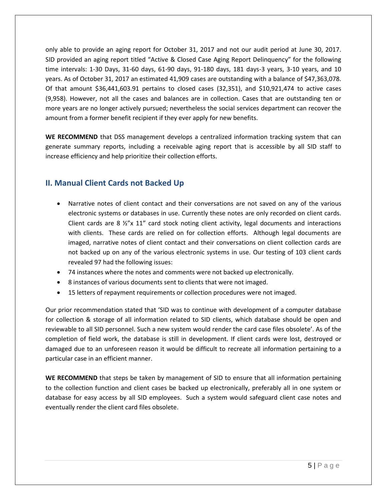only able to provide an aging report for October 31, 2017 and not our audit period at June 30, 2017. SID provided an aging report titled "Active & Closed Case Aging Report Delinquency" for the following time intervals: 1-30 Days, 31-60 days, 61-90 days, 91-180 days, 181 days-3 years, 3-10 years, and 10 years. As of October 31, 2017 an estimated 41,909 cases are outstanding with a balance of \$47,363,078. Of that amount \$36,441,603.91 pertains to closed cases (32,351), and \$10,921,474 to active cases (9,958). However, not all the cases and balances are in collection. Cases that are outstanding ten or more years are no longer actively pursued; nevertheless the social services department can recover the amount from a former benefit recipient if they ever apply for new benefits.

WE RECOMMEND that DSS management develops a centralized information tracking system that can generate summary reports, including a receivable aging report that is accessible by all SID staff to increase efficiency and help prioritize their collection efforts.

## <span id="page-4-0"></span>**II. Manual Client Cards not Backed Up**

- Narrative notes of client contact and their conversations are not saved on any of the various electronic systems or databases in use. Currently these notes are only recorded on client cards. Client cards are 8  $\frac{1}{2}$  x 11" card stock noting client activity, legal documents and interactions with clients. These cards are relied on for collection efforts. Although legal documents are imaged, narrative notes of client contact and their conversations on client collection cards are not backed up on any of the various electronic systems in use. Our testing of 103 client cards revealed 97 had the following issues:
- 74 instances where the notes and comments were not backed up electronically.
- 8 instances of various documents sent to clients that were not imaged.
- 15 letters of repayment requirements or collection procedures were not imaged.

Our prior recommendation stated that 'SID was to continue with development of a computer database for collection & storage of all information related to SID clients, which database should be open and reviewable to all SID personnel. Such a new system would render the card case files obsolete'. As of the completion of field work, the database is still in development. If client cards were lost, destroyed or damaged due to an unforeseen reason it would be difficult to recreate all information pertaining to a particular case in an efficient manner.

**WE RECOMMEND** that steps be taken by management of SID to ensure that all information pertaining to the collection function and client cases be backed up electronically, preferably all in one system or database for easy access by all SID employees. Such a system would safeguard client case notes and eventually render the client card files obsolete.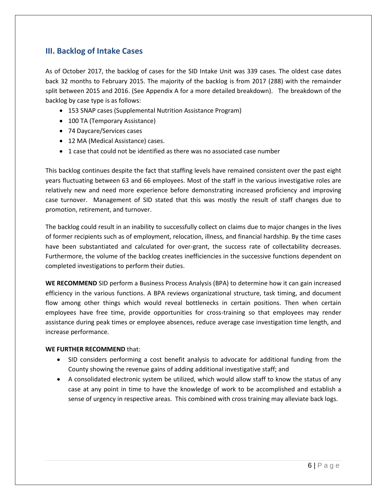## <span id="page-5-0"></span>**III. Backlog of Intake Cases**

As of October 2017, the backlog of cases for the SID Intake Unit was 339 cases. The oldest case dates back 32 months to February 2015. The majority of the backlog is from 2017 (288) with the remainder split between 2015 and 2016. (See Appendix A for a more detailed breakdown). The breakdown of the backlog by case type is as follows:

- 153 SNAP cases (Supplemental Nutrition Assistance Program)
- 100 TA (Temporary Assistance)
- 74 Daycare/Services cases
- 12 MA (Medical Assistance) cases.
- 1 case that could not be identified as there was no associated case number

This backlog continues despite the fact that staffing levels have remained consistent over the past eight years fluctuating between 63 and 66 employees. Most of the staff in the various investigative roles are relatively new and need more experience before demonstrating increased proficiency and improving case turnover. Management of SID stated that this was mostly the result of staff changes due to promotion, retirement, and turnover.

The backlog could result in an inability to successfully collect on claims due to major changes in the lives of former recipients such as of employment, relocation, illness, and financial hardship. By the time cases have been substantiated and calculated for over-grant, the success rate of collectability decreases. Furthermore, the volume of the backlog creates inefficiencies in the successive functions dependent on completed investigations to perform their duties.

**WE RECOMMEND** SID perform a Business Process Analysis (BPA) to determine how it can gain increased efficiency in the various functions. A BPA reviews organizational structure, task timing, and document flow among other things which would reveal bottlenecks in certain positions. Then when certain employees have free time, provide opportunities for cross-training so that employees may render assistance during peak times or employee absences, reduce average case investigation time length, and increase performance.

#### **WE FURTHER RECOMMEND** that:

- SID considers performing a cost benefit analysis to advocate for additional funding from the County showing the revenue gains of adding additional investigative staff; and
- A consolidated electronic system be utilized, which would allow staff to know the status of any case at any point in time to have the knowledge of work to be accomplished and establish a sense of urgency in respective areas. This combined with cross training may alleviate back logs.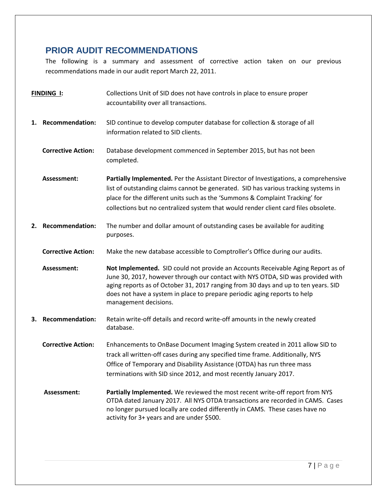## <span id="page-6-0"></span>**PRIOR AUDIT RECOMMENDATIONS**

The following is a summary and assessment of corrective action taken on our previous recommendations made in our audit report March 22, 2011.

| <b>FINDING I:</b> |                           | Collections Unit of SID does not have controls in place to ensure proper<br>accountability over all transactions.                                                                                                                                                                                                                                               |
|-------------------|---------------------------|-----------------------------------------------------------------------------------------------------------------------------------------------------------------------------------------------------------------------------------------------------------------------------------------------------------------------------------------------------------------|
|                   | 1. Recommendation:        | SID continue to develop computer database for collection & storage of all<br>information related to SID clients.                                                                                                                                                                                                                                                |
|                   | <b>Corrective Action:</b> | Database development commenced in September 2015, but has not been<br>completed.                                                                                                                                                                                                                                                                                |
|                   | Assessment:               | Partially Implemented. Per the Assistant Director of Investigations, a comprehensive<br>list of outstanding claims cannot be generated. SID has various tracking systems in<br>place for the different units such as the 'Summons & Complaint Tracking' for<br>collections but no centralized system that would render client card files obsolete.              |
| 2.                | <b>Recommendation:</b>    | The number and dollar amount of outstanding cases be available for auditing<br>purposes.                                                                                                                                                                                                                                                                        |
|                   | <b>Corrective Action:</b> | Make the new database accessible to Comptroller's Office during our audits.                                                                                                                                                                                                                                                                                     |
|                   | Assessment:               | Not Implemented. SID could not provide an Accounts Receivable Aging Report as of<br>June 30, 2017, however through our contact with NYS OTDA, SID was provided with<br>aging reports as of October 31, 2017 ranging from 30 days and up to ten years. SID<br>does not have a system in place to prepare periodic aging reports to help<br>management decisions. |
|                   | 3. Recommendation:        | Retain write-off details and record write-off amounts in the newly created<br>database.                                                                                                                                                                                                                                                                         |
|                   | <b>Corrective Action:</b> | Enhancements to OnBase Document Imaging System created in 2011 allow SID to<br>track all written-off cases during any specified time frame. Additionally, NYS<br>Office of Temporary and Disability Assistance (OTDA) has run three mass<br>terminations with SID since 2012, and most recently January 2017.                                                   |
|                   | Assessment:               | Partially Implemented. We reviewed the most recent write-off report from NYS<br>OTDA dated January 2017. All NYS OTDA transactions are recorded in CAMS. Cases<br>no longer pursued locally are coded differently in CAMS. These cases have no<br>activity for 3+ years and are under \$500.                                                                    |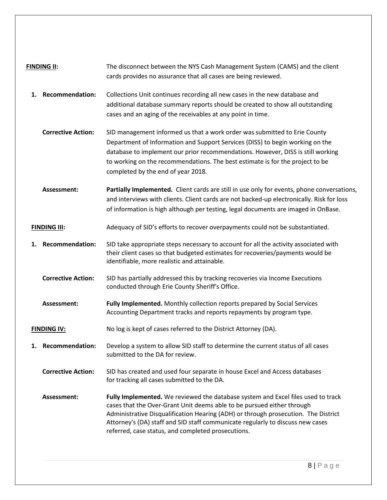| <b>FINDING II:</b>                                                                                                                                                                                                                                     |                           | The disconnect between the NYS Cash Management System (CAMS) and the client<br>cards provides no assurance that all cases are being reviewed.                                                                                                                                                                                                                                            |  |  |  |  |  |  |
|--------------------------------------------------------------------------------------------------------------------------------------------------------------------------------------------------------------------------------------------------------|---------------------------|------------------------------------------------------------------------------------------------------------------------------------------------------------------------------------------------------------------------------------------------------------------------------------------------------------------------------------------------------------------------------------------|--|--|--|--|--|--|
| 1.                                                                                                                                                                                                                                                     | <b>Recommendation:</b>    | Collections Unit continues recording all new cases in the new database and<br>additional database summary reports should be created to show all outstanding<br>cases and an aging of the receivables at any point in time.                                                                                                                                                               |  |  |  |  |  |  |
|                                                                                                                                                                                                                                                        | <b>Corrective Action:</b> | SID management informed us that a work order was submitted to Erie County<br>Department of Information and Support Services (DISS) to begin working on the<br>database to implement our prior recommendations. However, DISS is still working<br>to working on the recommendations. The best estimate is for the project to be<br>completed by the end of year 2018.                     |  |  |  |  |  |  |
|                                                                                                                                                                                                                                                        | Assessment:               | Partially Implemented. Client cards are still in use only for events, phone conversations,<br>and interviews with clients. Client cards are not backed-up electronically. Risk for loss<br>of information is high although per testing, legal documents are imaged in OnBase.                                                                                                            |  |  |  |  |  |  |
|                                                                                                                                                                                                                                                        | <b>FINDING III:</b>       | Adequacy of SID's efforts to recover overpayments could not be substantiated.                                                                                                                                                                                                                                                                                                            |  |  |  |  |  |  |
| <b>Recommendation:</b><br>SID take appropriate steps necessary to account for all the activity associated with<br>1.<br>their client cases so that budgeted estimates for recoveries/payments would be<br>identifiable, more realistic and attainable. |                           |                                                                                                                                                                                                                                                                                                                                                                                          |  |  |  |  |  |  |
|                                                                                                                                                                                                                                                        | <b>Corrective Action:</b> | SID has partially addressed this by tracking recoveries via Income Executions<br>conducted through Erie County Sheriff's Office.                                                                                                                                                                                                                                                         |  |  |  |  |  |  |
|                                                                                                                                                                                                                                                        | Assessment:               | Fully Implemented. Monthly collection reports prepared by Social Services<br>Accounting Department tracks and reports repayments by program type.                                                                                                                                                                                                                                        |  |  |  |  |  |  |
|                                                                                                                                                                                                                                                        | <b>FINDING IV:</b>        | No log is kept of cases referred to the District Attorney (DA).                                                                                                                                                                                                                                                                                                                          |  |  |  |  |  |  |
| 1.                                                                                                                                                                                                                                                     | <b>Recommendation:</b>    | Develop a system to allow SID staff to determine the current status of all cases<br>submitted to the DA for review.                                                                                                                                                                                                                                                                      |  |  |  |  |  |  |
|                                                                                                                                                                                                                                                        | <b>Corrective Action:</b> | SID has created and used four separate in house Excel and Access databases<br>for tracking all cases submitted to the DA.                                                                                                                                                                                                                                                                |  |  |  |  |  |  |
|                                                                                                                                                                                                                                                        | Assessment:               | Fully Implemented. We reviewed the database system and Excel files used to track<br>cases that the Over-Grant Unit deems able to be pursued either through<br>Administrative Disqualification Hearing (ADH) or through prosecution. The District<br>Attorney's (DA) staff and SID staff communicate regularly to discuss new cases<br>referred, case status, and completed prosecutions. |  |  |  |  |  |  |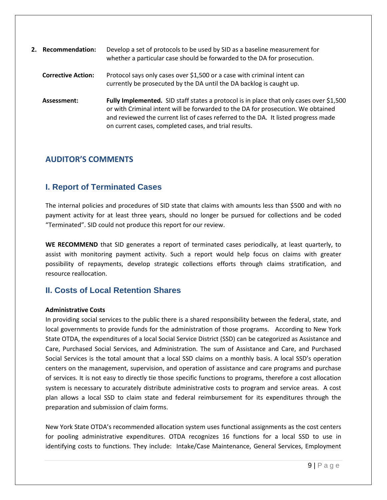| 2. Recommendation:        | Develop a set of protocols to be used by SID as a baseline measurement for<br>whether a particular case should be forwarded to the DA for prosecution.                                                                                                                                                                     |
|---------------------------|----------------------------------------------------------------------------------------------------------------------------------------------------------------------------------------------------------------------------------------------------------------------------------------------------------------------------|
| <b>Corrective Action:</b> | Protocol says only cases over \$1,500 or a case with criminal intent can<br>currently be prosecuted by the DA until the DA backlog is caught up.                                                                                                                                                                           |
| Assessment:               | Fully Implemented. SID staff states a protocol is in place that only cases over \$1,500<br>or with Criminal intent will be forwarded to the DA for prosecution. We obtained<br>and reviewed the current list of cases referred to the DA. It listed progress made<br>on current cases, completed cases, and trial results. |

#### <span id="page-8-0"></span>**AUDITOR'S COMMENTS**

## <span id="page-8-1"></span>**I. Report of Terminated Cases**

The internal policies and procedures of SID state that claims with amounts less than \$500 and with no payment activity for at least three years, should no longer be pursued for collections and be coded "Terminated". SID could not produce this report for our review.

**WE RECOMMEND** that SID generates a report of terminated cases periodically, at least quarterly, to assist with monitoring payment activity. Such a report would help focus on claims with greater possibility of repayments, develop strategic collections efforts through claims stratification, and resource reallocation.

## <span id="page-8-2"></span>**II. Costs of Local Retention Shares**

#### **Administrative Costs**

In providing social services to the public there is a shared responsibility between the federal, state, and local governments to provide funds for the administration of those programs. According to New York State OTDA, the expenditures of a local Social Service District (SSD) can be categorized as Assistance and Care, Purchased Social Services, and Administration. The sum of Assistance and Care, and Purchased Social Services is the total amount that a local SSD claims on a monthly basis. A local SSD's operation centers on the management, supervision, and operation of assistance and care programs and purchase of services. It is not easy to directly tie those specific functions to programs, therefore a cost allocation system is necessary to accurately distribute administrative costs to program and service areas. A cost plan allows a local SSD to claim state and federal reimbursement for its expenditures through the preparation and submission of claim forms.

New York State OTDA's recommended allocation system uses functional assignments as the cost centers for pooling administrative expenditures. OTDA recognizes 16 functions for a local SSD to use in identifying costs to functions. They include: Intake/Case Maintenance, General Services, Employment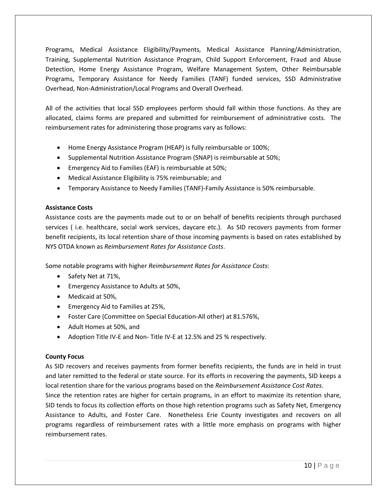Programs, Medical Assistance Eligibility/Payments, Medical Assistance Planning/Administration, Training, Supplemental Nutrition Assistance Program, Child Support Enforcement, Fraud and Abuse Detection, Home Energy Assistance Program, Welfare Management System, Other Reimbursable Programs, Temporary Assistance for Needy Families (TANF) funded services, SSD Administrative Overhead, Non-Administration/Local Programs and Overall Overhead.

All of the activities that local SSD employees perform should fall within those functions. As they are allocated, claims forms are prepared and submitted for reimbursement of administrative costs. The reimbursement rates for administering those programs vary as follows:

- Home Energy Assistance Program (HEAP) is fully reimbursable or 100%;
- Supplemental Nutrition Assistance Program (SNAP) is reimbursable at 50%;
- **Emergency Aid to Families (EAF) is reimbursable at 50%;**
- Medical Assistance Eligibility is 75% reimbursable; and
- Temporary Assistance to Needy Families (TANF)-Family Assistance is 50% reimbursable.

#### **Assistance Costs**

Assistance costs are the payments made out to or on behalf of benefits recipients through purchased services ( i.e. healthcare, social work services, daycare etc.). As SID recovers payments from former benefit recipients, its local retention share of those incoming payments is based on rates established by NYS OTDA known as *Reimbursement Rates for Assistance Costs*.

Some notable programs with higher *Reimbursement Rates for Assistance Costs*:

- Safety Net at 71%,
- **Emergency Assistance to Adults at 50%,**
- Medicaid at 50%,
- Emergency Aid to Families at 25%,
- Foster Care (Committee on Special Education-All other) at 81.576%,
- Adult Homes at 50%, and
- Adoption Title IV-E and Non- Title IV-E at 12.5% and 25 % respectively.

#### **County Focus**

As SID recovers and receives payments from former benefits recipients, the funds are in held in trust and later remitted to the federal or state source. For its efforts in recovering the payments, SID keeps a local retention share for the various programs based on the *Reimbursement Assistance Cost Rates*.

Since the retention rates are higher for certain programs, in an effort to maximize its retention share, SID tends to focus its collection efforts on those high retention programs such as Safety Net, Emergency Assistance to Adults, and Foster Care. Nonetheless Erie County investigates and recovers on all programs regardless of reimbursement rates with a little more emphasis on programs with higher reimbursement rates.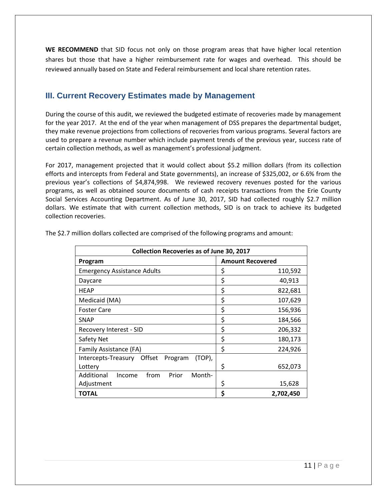**WE RECOMMEND** that SID focus not only on those program areas that have higher local retention shares but those that have a higher reimbursement rate for wages and overhead. This should be reviewed annually based on State and Federal reimbursement and local share retention rates.

## <span id="page-10-0"></span>**III. Current Recovery Estimates made by Management**

During the course of this audit, we reviewed the budgeted estimate of recoveries made by management for the year 2017. At the end of the year when management of DSS prepares the departmental budget, they make revenue projections from collections of recoveries from various programs. Several factors are used to prepare a revenue number which include payment trends of the previous year, success rate of certain collection methods, as well as management's professional judgment.

For 2017, management projected that it would collect about \$5.2 million dollars (from its collection efforts and intercepts from Federal and State governments), an increase of \$325,002, or 6.6% from the previous year's collections of \$4,874,998. We reviewed recovery revenues posted for the various programs, as well as obtained source documents of cash receipts transactions from the Erie County Social Services Accounting Department. As of June 30, 2017, SID had collected roughly \$2.7 million dollars. We estimate that with current collection methods, SID is on track to achieve its budgeted collection recoveries.

| <b>Collection Recoveries as of June 30, 2017</b>   |                         |  |  |  |  |
|----------------------------------------------------|-------------------------|--|--|--|--|
| Program                                            | <b>Amount Recovered</b> |  |  |  |  |
| <b>Emergency Assistance Adults</b>                 | \$<br>110,592           |  |  |  |  |
| Daycare                                            | \$<br>40,913            |  |  |  |  |
| <b>HEAP</b>                                        | \$<br>822,681           |  |  |  |  |
| Medicaid (MA)                                      | \$<br>107,629           |  |  |  |  |
| <b>Foster Care</b>                                 | \$<br>156,936           |  |  |  |  |
| <b>SNAP</b>                                        | \$<br>184,566           |  |  |  |  |
| Recovery Interest - SID                            | \$<br>206,332           |  |  |  |  |
| Safety Net                                         | \$<br>180,173           |  |  |  |  |
| Family Assistance (FA)                             | \$<br>224,926           |  |  |  |  |
| Offset<br>(TOP),<br>Intercepts-Treasury<br>Program |                         |  |  |  |  |
| Lottery                                            | \$<br>652,073           |  |  |  |  |
| Additional<br>from<br>Month-<br>Prior<br>Income    |                         |  |  |  |  |
| Adjustment                                         | 15,628<br>Ş             |  |  |  |  |
| TOTAL                                              | \$<br>2,702,450         |  |  |  |  |

The \$2.7 million dollars collected are comprised of the following programs and amount: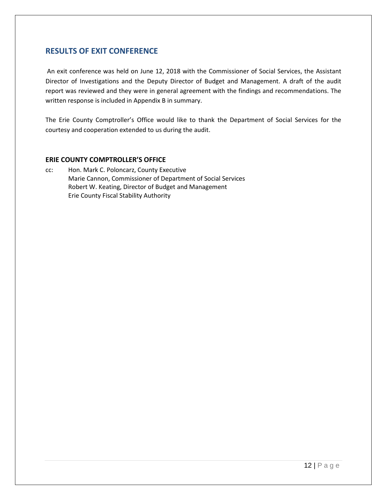#### <span id="page-11-0"></span>**RESULTS OF EXIT CONFERENCE**

An exit conference was held on June 12, 2018 with the Commissioner of Social Services, the Assistant Director of Investigations and the Deputy Director of Budget and Management. A draft of the audit report was reviewed and they were in general agreement with the findings and recommendations. The written response is included in Appendix B in summary.

The Erie County Comptroller's Office would like to thank the Department of Social Services for the courtesy and cooperation extended to us during the audit.

#### **ERIE COUNTY COMPTROLLER'S OFFICE**

cc: Hon. Mark C. Poloncarz, County Executive Marie Cannon, Commissioner of Department of Social Services Robert W. Keating, Director of Budget and Management Erie County Fiscal Stability Authority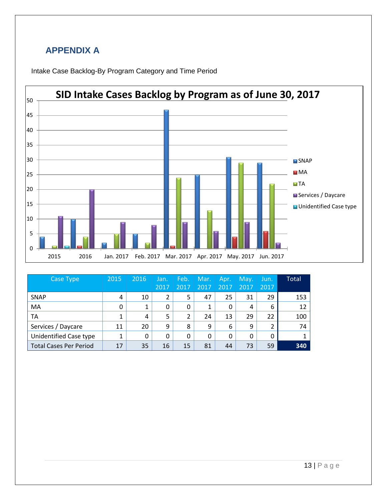# <span id="page-12-0"></span>**APPENDIX A**





| Case Type                     | 2015 | 2016 | Jan. | Feb. | Mar. | Apr. | May. | Jun. | <b>Total</b> |
|-------------------------------|------|------|------|------|------|------|------|------|--------------|
|                               |      |      | 2017 | 2017 | 2017 | 2017 | 2017 | 2017 |              |
| <b>SNAP</b>                   | 4    | 10   | 2    | 5    | 47   | 25   | 31   | 29   | 153          |
| MA                            | 0    | 1    | 0    | 0    | 1    | 0    | 4    | 6    | 12           |
| TA                            | 1    | 4    | 5    | 2    | 24   | 13   | 29   | 22   | 100          |
| Services / Daycare            | 11   | 20   | 9    | 8    | 9    | 6    | 9    | 2    | 74           |
| Unidentified Case type        | 1    | 0    | 0    | 0    | 0    | 0    | 0    | 0    |              |
| <b>Total Cases Per Period</b> | 17   | 35   | 16   | 15   | 81   | 44   | 73   | 59   | 340          |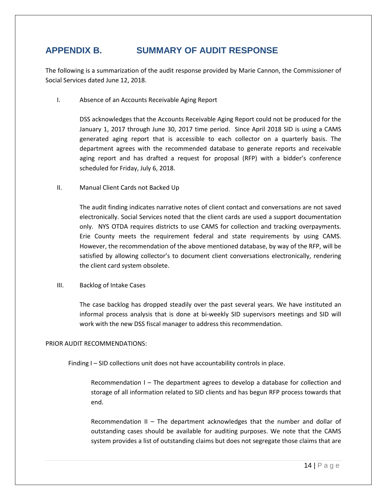## <span id="page-13-0"></span>**APPENDIX B. SUMMARY OF AUDIT RESPONSE**

The following is a summarization of the audit response provided by Marie Cannon, the Commissioner of Social Services dated June 12, 2018.

I. Absence of an Accounts Receivable Aging Report

DSS acknowledges that the Accounts Receivable Aging Report could not be produced for the January 1, 2017 through June 30, 2017 time period. Since April 2018 SID is using a CAMS generated aging report that is accessible to each collector on a quarterly basis. The department agrees with the recommended database to generate reports and receivable aging report and has drafted a request for proposal (RFP) with a bidder's conference scheduled for Friday, July 6, 2018.

II. Manual Client Cards not Backed Up

The audit finding indicates narrative notes of client contact and conversations are not saved electronically. Social Services noted that the client cards are used a support documentation only. NYS OTDA requires districts to use CAMS for collection and tracking overpayments. Erie County meets the requirement federal and state requirements by using CAMS. However, the recommendation of the above mentioned database, by way of the RFP, will be satisfied by allowing collector's to document client conversations electronically, rendering the client card system obsolete.

III. Backlog of Intake Cases

The case backlog has dropped steadily over the past several years. We have instituted an informal process analysis that is done at bi-weekly SID supervisors meetings and SID will work with the new DSS fiscal manager to address this recommendation.

#### PRIOR AUDIT RECOMMENDATIONS:

Finding I – SID collections unit does not have accountability controls in place.

Recommendation I – The department agrees to develop a database for collection and storage of all information related to SID clients and has begun RFP process towards that end.

Recommendation II – The department acknowledges that the number and dollar of outstanding cases should be available for auditing purposes. We note that the CAMS system provides a list of outstanding claims but does not segregate those claims that are